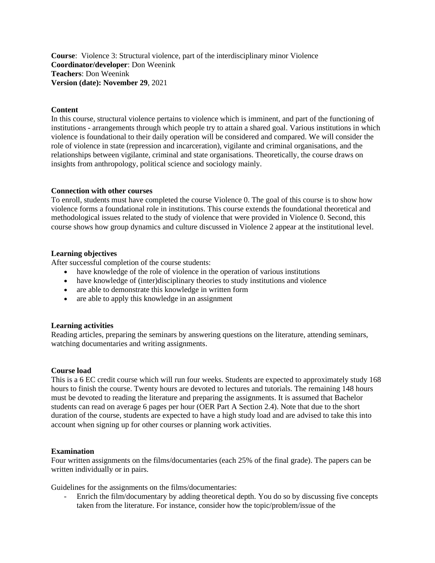**Course**: Violence 3: Structural violence, part of the interdisciplinary minor Violence **Coordinator/developer**: Don Weenink **Teachers**: Don Weenink **Version (date): November 29**, 2021

# **Content**

In this course, structural violence pertains to violence which is imminent, and part of the functioning of institutions - arrangements through which people try to attain a shared goal. Various institutions in which violence is foundational to their daily operation will be considered and compared. We will consider the role of violence in state (repression and incarceration), vigilante and criminal organisations, and the relationships between vigilante, criminal and state organisations. Theoretically, the course draws on insights from anthropology, political science and sociology mainly.

#### **Connection with other courses**

To enroll, students must have completed the course Violence 0. The goal of this course is to show how violence forms a foundational role in institutions. This course extends the foundational theoretical and methodological issues related to the study of violence that were provided in Violence 0. Second, this course shows how group dynamics and culture discussed in Violence 2 appear at the institutional level.

## **Learning objectives**

After successful completion of the course students:

- have knowledge of the role of violence in the operation of various institutions
- have knowledge of (inter)disciplinary theories to study institutions and violence
- are able to demonstrate this knowledge in written form
- are able to apply this knowledge in an assignment

#### **Learning activities**

Reading articles, preparing the seminars by answering questions on the literature, attending seminars, watching documentaries and writing assignments.

#### **Course load**

This is a 6 EC credit course which will run four weeks. Students are expected to approximately study 168 hours to finish the course. Twenty hours are devoted to lectures and tutorials. The remaining 148 hours must be devoted to reading the literature and preparing the assignments. It is assumed that Bachelor students can read on average 6 pages per hour (OER Part A Section 2.4). Note that due to the short duration of the course, students are expected to have a high study load and are advised to take this into account when signing up for other courses or planning work activities.

#### **Examination**

Four written assignments on the films/documentaries (each 25% of the final grade). The papers can be written individually or in pairs.

Guidelines for the assignments on the films/documentaries:

- Enrich the film/documentary by adding theoretical depth. You do so by discussing five concepts taken from the literature. For instance, consider how the topic/problem/issue of the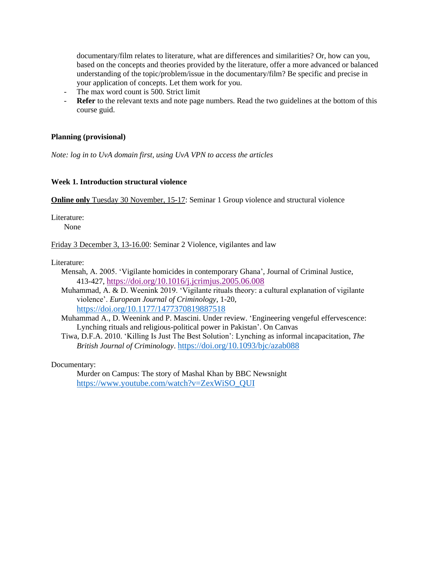documentary/film relates to literature, what are differences and similarities? Or, how can you, based on the concepts and theories provided by the literature, offer a more advanced or balanced understanding of the topic/problem/issue in the documentary/film? Be specific and precise in your application of concepts. Let them work for you.

- The max word count is 500. Strict limit
- **Refer** to the relevant texts and note page numbers. Read the two guidelines at the bottom of this course guid.

## **Planning (provisional)**

*Note: log in to UvA domain first, using UvA VPN to access the articles*

#### **Week 1. Introduction structural violence**

**Online only** Tuesday 30 November, 15-17: Seminar 1 Group violence and structural violence

Literature:

None

Friday 3 December 3, 13-16.00: Seminar 2 Violence, vigilantes and law

Literature:

- Mensah, A. 2005. 'Vigilante homicides in contemporary Ghana', Journal of Criminal Justice, 413-427, <https://doi.org/10.1016/j.jcrimjus.2005.06.008>
- Muhammad, A. & D. Weenink 2019. 'Vigilante rituals theory: a cultural explanation of vigilante violence'. *European Journal of Criminology*, 1-20, <https://doi.org/10.1177/1477370819887518>

Muhammad A., D. Weenink and P. Mascini. Under review. 'Engineering vengeful effervescence: Lynching rituals and religious-political power in Pakistan'. On Canvas

Tiwa, D.F.A. 2010. 'Killing Is Just The Best Solution': Lynching as informal incapacitation, *The British Journal of Criminology*. <https://doi.org/10.1093/bjc/azab088>

Documentary:

Murder on Campus: The story of Mashal Khan by BBC Newsnight [https://www.youtube.com/watch?v=ZexWiSO\\_QUI](https://www.youtube.com/watch?v=ZexWiSO_QUI)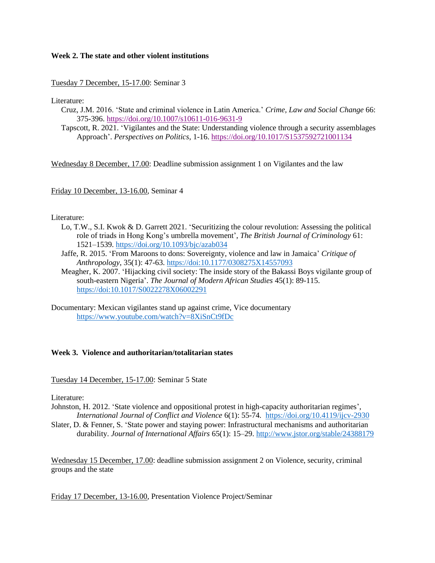## **Week 2. The state and other violent institutions**

Tuesday 7 December, 15-17.00: Seminar 3

Literature:

- Cruz, J.M. 2016. 'State and criminal violence in Latin America.' *Crime, Law and Social Change* 66: 375-396.<https://doi.org/10.1007/s10611-016-9631-9>
- Tapscott, R. 2021. 'Vigilantes and the State: Understanding violence through a security assemblages Approach'. *Perspectives on Politics*, 1-16.<https://doi.org/10.1017/S1537592721001134>

Wednesday 8 December, 17.00: Deadline submission assignment 1 on Vigilantes and the law

Friday 10 December, 13-16.00, Seminar 4

#### Literature:

- Lo, T.W., S.I. Kwok & D. Garrett 2021. 'Securitizing the colour revolution: Assessing the political role of triads in Hong Kong's umbrella movement', *The British Journal of Criminology* 61: 1521–1539. <https://doi.org/10.1093/bjc/azab034>
- Jaffe, R. 2015. 'From Maroons to dons: Sovereignty, violence and law in Jamaica' *Critique of Anthropology*, 35(1): 47-63. https://doi[:10.1177/0308275X14557093](https://doi.org/10.1177/0308275X14557093)
- Meagher, K. 2007. 'Hijacking civil society: The inside story of the Bakassi Boys vigilante group of south-eastern Nigeria'. *The Journal of Modern African Studies* 45(1): 89-115. https://doi:10.1017/S0022278X06002291
- Documentary: Mexican vigilantes stand up against crime, Vice documentary <https://www.youtube.com/watch?v=8XiSnCt9fDc>

# **Week 3. Violence and authoritarian/totalitarian states**

Tuesday 14 December, 15-17.00: Seminar 5 State

Literature:

Johnston, H. 2012. 'State violence and oppositional protest in high-capacity authoritarian regimes', *International Journal of Conflict and Violence* 6(1): 55-74*.* <https://doi.org/10.4119/ijcv-2930>

Slater, D. & Fenner, S. 'State power and staying power: Infrastructural mechanisms and authoritarian durability. *Journal of International Affairs* 65(1): 15–29. http://www.jstor.org/stable/24388179

Wednesday 15 December, 17.00: deadline submission assignment 2 on Violence, security, criminal groups and the state

Friday 17 December, 13-16.00, Presentation Violence Project/Seminar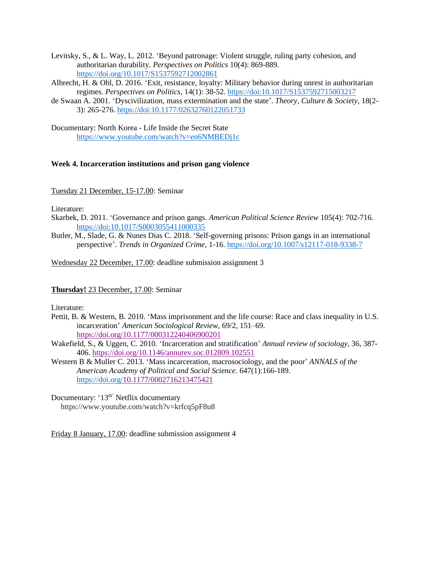Levitsky, S., & L. Way, L. 2012. 'Beyond patronage: Violent struggle, ruling party cohesion, and authoritarian durability. *Perspectives on Politics* 10(4): 869-889. https://doi.org/10.1017/S1537592712002861

Albrecht, H. & Ohl, D. 2016. 'Exit, resistance, loyalty: Military behavior during unrest in authoritarian regimes. *Perspectives on Politics*, 14(1): 38-52. https://doi:10.1017/S1537592715003217

de Swaan A. 2001. 'Dyscivilization, mass extermination and the state'. *Theory, Culture & Society,* 18(2- 3): 265-276. https://doi[:10.1177/02632760122051733](https://doi.org/10.1177/02632760122051733)

Documentary: North Korea - Life Inside the Secret State <https://www.youtube.com/watch?v=en6NMBEDj1c>

## **Week 4. Incarceration institutions and prison gang violence**

Tuesday 21 December, 15-17.00: Seminar

Literature:

- Skarbek, D. 2011. 'Governance and prison gangs. *American Political Science Review* 105(4): 702-716. https://doi:10.1017/S0003055411000335
- Butler, M., Slade, G. & Nunes Dias C. 2018. 'Self-governing prisons: Prison gangs in an international perspective'. *Trends in Organized Crime*, 1-16. https://doi.org/10.1007/s12117-018-9338-7

Wednesday 22 December, 17.00: deadline submission assignment 3

**Thursday!** 23 December, 17.00: Seminar

Literature:

- Pettit, B. & Western, B. 2010. 'Mass imprisonment and the life course: Race and class inequality in U.S. incarceration' *American Sociological Review*, 69/2, 151–69. [https://doi.org/10.1177/000312240406900201](https://doi.org/10.1177%2F000312240406900201)
- Wakefield, S., & Uggen, C. 2010. 'Incarceration and stratification' *Annual review of sociology*, 36, 387- 406. <https://doi.org/10.1146/annurev.soc.012809.102551>
- Western B & Muller C. 2013. 'Mass incarceration, macrosociology, and the poor' *ANNALS of the American Academy of Political and Social Science*. 647(1):166-189. https://doi.org[/10.1177/0002716213475421](https://doi.org/10.1177/0002716213475421)
- Documentary: '13<sup>th'</sup> Netflix documentary https://www.youtube.com/watch?v=krfcq5pF8u8

Friday 8 January, 17.00: deadline submission assignment 4